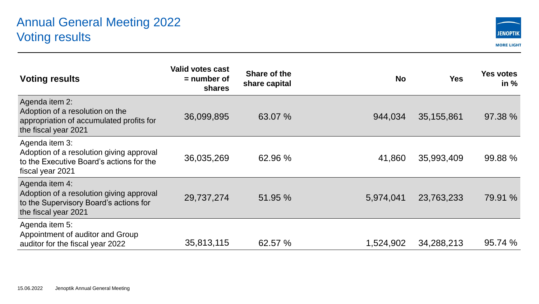## Annual General Meeting 2022 Voting results



| <b>Voting results</b>                                                                                                        | <b>Valid votes cast</b><br>$=$ number of<br>shares | Share of the<br>share capital | <b>No</b> | <b>Yes</b>   | <b>Yes votes</b><br>in $%$ |
|------------------------------------------------------------------------------------------------------------------------------|----------------------------------------------------|-------------------------------|-----------|--------------|----------------------------|
| Agenda item 2:<br>Adoption of a resolution on the<br>appropriation of accumulated profits for<br>the fiscal year 2021        | 36,099,895                                         | 63.07 %                       | 944,034   | 35, 155, 861 | 97.38 %                    |
| Agenda item 3:<br>Adoption of a resolution giving approval<br>to the Executive Board's actions for the<br>fiscal year 2021   | 36,035,269                                         | 62.96 %                       | 41,860    | 35,993,409   | 99.88 %                    |
| Agenda item 4:<br>Adoption of a resolution giving approval<br>to the Supervisory Board's actions for<br>the fiscal year 2021 | 29,737,274                                         | 51.95 %                       | 5,974,041 | 23,763,233   | 79.91 %                    |
| Agenda item 5:<br>Appointment of auditor and Group<br>auditor for the fiscal year 2022                                       | 35,813,115                                         | 62.57 %                       | 1,524,902 | 34,288,213   | 95.74 %                    |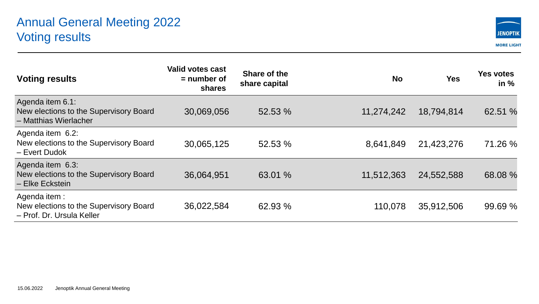## Annual General Meeting 2022 Voting results



| <b>Voting results</b>                                                               | Valid votes cast<br>$=$ number of<br>shares | Share of the<br>share capital | <b>No</b>  | <b>Yes</b> | <b>Yes votes</b><br>in $%$ |
|-------------------------------------------------------------------------------------|---------------------------------------------|-------------------------------|------------|------------|----------------------------|
| Agenda item 6.1:<br>New elections to the Supervisory Board<br>- Matthias Wierlacher | 30,069,056                                  | 52.53 %                       | 11,274,242 | 18,794,814 | 62.51 %                    |
| Agenda item 6.2:<br>New elections to the Supervisory Board<br>- Evert Dudok         | 30,065,125                                  | 52.53 %                       | 8,641,849  | 21,423,276 | 71.26 %                    |
| Agenda item 6.3:<br>New elections to the Supervisory Board<br>- Elke Eckstein       | 36,064,951                                  | 63.01 %                       | 11,512,363 | 24,552,588 | 68.08 %                    |
| Agenda item:<br>New elections to the Supervisory Board<br>- Prof. Dr. Ursula Keller | 36,022,584                                  | 62.93 %                       | 110,078    | 35,912,506 | 99.69 %                    |